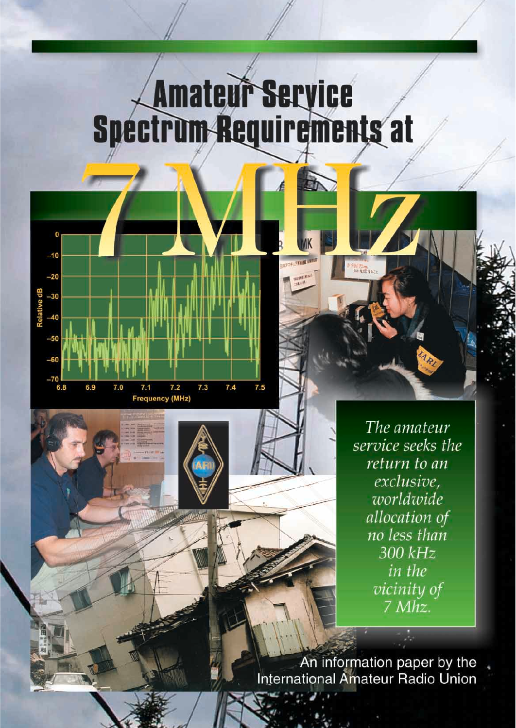# Amateur Service<br>Spectrum Requirements at



The amateur service seeks the return to an exclusive. worldwide allocation of no less than 300 kHz in the vicinity of 7 Mhz.

An information paper by the<br>International Amateur Radio Union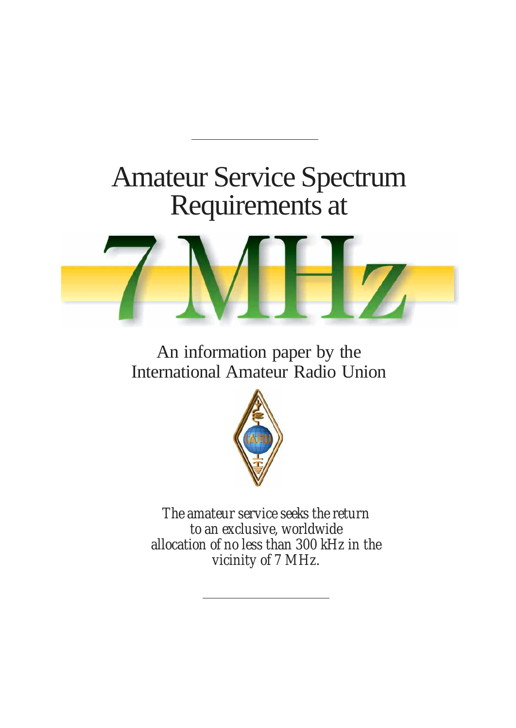### Amateur Service Spectrum Requirements at



An information paper by the International Amateur Radio Union



*The amateur service seeks the return to an exclusive, worldwide allocation of no less than 300 kHz in the vicinity of 7 MHz.*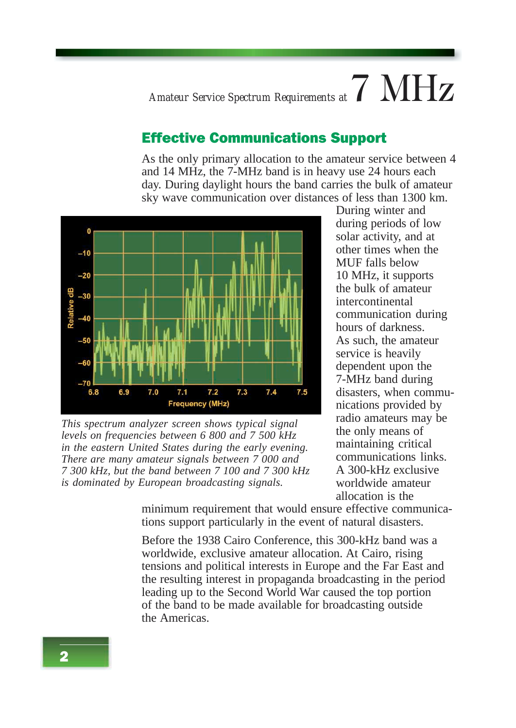*Amateur Service Spectrum Requirements at*  $7$   $\text{MHz}$ 

#### Effective Communications Support

As the only primary allocation to the amateur service between 4 and 14 MHz, the 7-MHz band is in heavy use 24 hours each day. During daylight hours the band carries the bulk of amateur sky wave communication over distances of less than 1300 km.



*This spectrum analyzer screen shows typical signal levels on frequencies between 6 800 and 7 500 kHz in the eastern United States during the early evening. There are many amateur signals between 7 000 and 7 300 kHz, but the band between 7 100 and 7 300 kHz is dominated by European broadcasting signals.*

During winter and during periods of low solar activity, and at other times when the MUF falls below 10 MHz, it supports the bulk of amateur intercontinental communication during hours of darkness. As such, the amateur service is heavily dependent upon the 7-MHz band during disasters, when communications provided by radio amateurs may be the only means of maintaining critical communications links. A 300-kHz exclusive worldwide amateur allocation is the

minimum requirement that would ensure effective communications support particularly in the event of natural disasters.

Before the 1938 Cairo Conference, this 300-kHz band was a worldwide, exclusive amateur allocation. At Cairo, rising tensions and political interests in Europe and the Far East and the resulting interest in propaganda broadcasting in the period leading up to the Second World War caused the top portion of the band to be made available for broadcasting outside the Americas.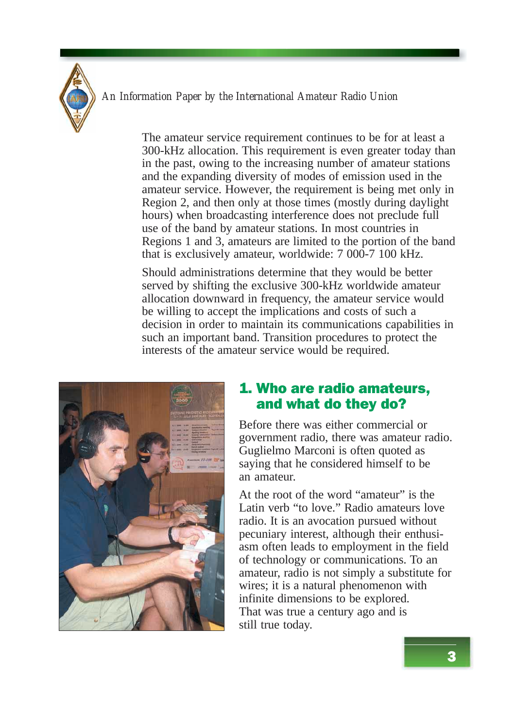

The amateur service requirement continues to be for at least a 300-kHz allocation. This requirement is even greater today than in the past, owing to the increasing number of amateur stations and the expanding diversity of modes of emission used in the amateur service. However, the requirement is being met only in Region 2, and then only at those times (mostly during daylight hours) when broadcasting interference does not preclude full use of the band by amateur stations. In most countries in Regions 1 and 3, amateurs are limited to the portion of the band that is exclusively amateur, worldwide: 7 000-7 100 kHz.

Should administrations determine that they would be better served by shifting the exclusive 300-kHz worldwide amateur allocation downward in frequency, the amateur service would be willing to accept the implications and costs of such a decision in order to maintain its communications capabilities in such an important band. Transition procedures to protect the interests of the amateur service would be required.



#### 1. Who are radio amateurs, and what do they do?

Before there was either commercial or government radio, there was amateur radio. Guglielmo Marconi is often quoted as saying that he considered himself to be an amateur.

At the root of the word "amateur" is the Latin verb "to love." Radio amateurs love radio. It is an avocation pursued without pecuniary interest, although their enthusiasm often leads to employment in the field of technology or communications. To an amateur, radio is not simply a substitute for wires; it is a natural phenomenon with infinite dimensions to be explored. That was true a century ago and is still true today.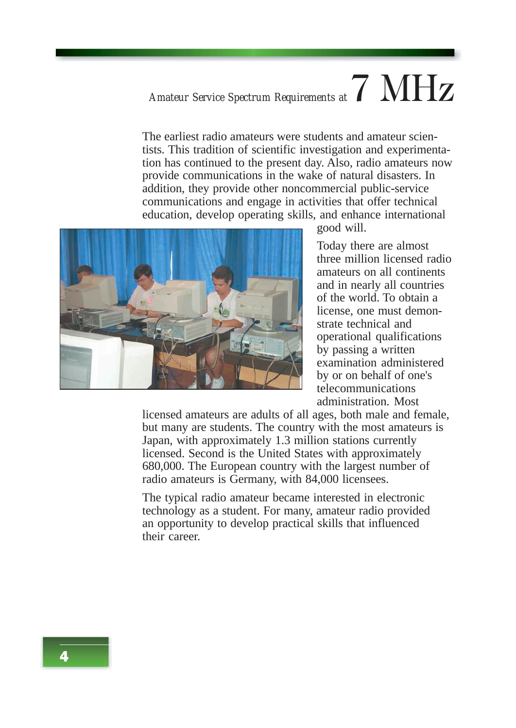### *Amateur Service Spectrum Requirements at*  $7$   $\text{MHz}$

The earliest radio amateurs were students and amateur scientists. This tradition of scientific investigation and experimentation has continued to the present day. Also, radio amateurs now provide communications in the wake of natural disasters. In addition, they provide other noncommercial public-service communications and engage in activities that offer technical education, develop operating skills, and enhance international



good will.

Today there are almost three million licensed radio amateurs on all continents and in nearly all countries of the world. To obtain a license, one must demonstrate technical and operational qualifications by passing a written examination administered by or on behalf of one's telecommunications administration. Most

licensed amateurs are adults of all ages, both male and female, but many are students. The country with the most amateurs is Japan, with approximately 1.3 million stations currently licensed. Second is the United States with approximately 680,000. The European country with the largest number of radio amateurs is Germany, with 84,000 licensees.

The typical radio amateur became interested in electronic technology as a student. For many, amateur radio provided an opportunity to develop practical skills that influenced their career.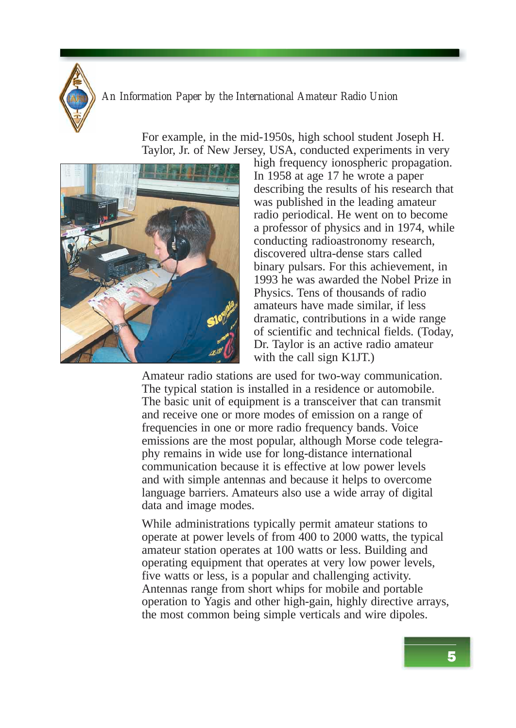

For example, in the mid-1950s, high school student Joseph H. Taylor, Jr. of New Jersey, USA, conducted experiments in very



high frequency ionospheric propagation. In 1958 at age 17 he wrote a paper describing the results of his research that was published in the leading amateur radio periodical. He went on to become a professor of physics and in 1974, while conducting radioastronomy research, discovered ultra-dense stars called binary pulsars. For this achievement, in 1993 he was awarded the Nobel Prize in Physics. Tens of thousands of radio amateurs have made similar, if less dramatic, contributions in a wide range of scientific and technical fields. (Today, Dr. Taylor is an active radio amateur with the call sign K1JT.)

Amateur radio stations are used for two-way communication. The typical station is installed in a residence or automobile. The basic unit of equipment is a transceiver that can transmit and receive one or more modes of emission on a range of frequencies in one or more radio frequency bands. Voice emissions are the most popular, although Morse code telegraphy remains in wide use for long-distance international communication because it is effective at low power levels and with simple antennas and because it helps to overcome language barriers. Amateurs also use a wide array of digital data and image modes.

While administrations typically permit amateur stations to operate at power levels of from 400 to 2000 watts, the typical amateur station operates at 100 watts or less. Building and operating equipment that operates at very low power levels, five watts or less, is a popular and challenging activity. Antennas range from short whips for mobile and portable operation to Yagis and other high-gain, highly directive arrays, the most common being simple verticals and wire dipoles.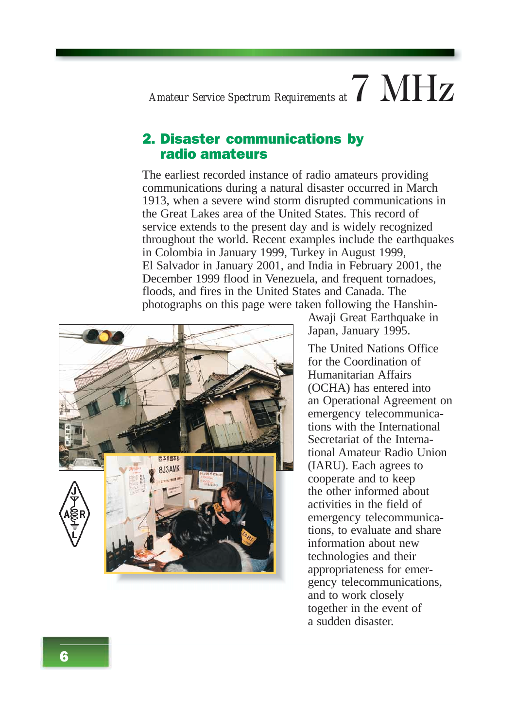### *Amateur Service Spectrum Requirements at*  $7$   $MHz$

#### 2. Disaster communications by radio amateurs

The earliest recorded instance of radio amateurs providing communications during a natural disaster occurred in March 1913, when a severe wind storm disrupted communications in the Great Lakes area of the United States. This record of service extends to the present day and is widely recognized throughout the world. Recent examples include the earthquakes in Colombia in January 1999, Turkey in August 1999, El Salvador in January 2001, and India in February 2001, the December 1999 flood in Venezuela, and frequent tornadoes, floods, and fires in the United States and Canada. The photographs on this page were taken following the Hanshin-



Awaji Great Earthquake in Japan, January 1995.

The United Nations Office for the Coordination of Humanitarian Affairs (OCHA) has entered into an Operational Agreement on emergency telecommunications with the International Secretariat of the International Amateur Radio Union (IARU). Each agrees to cooperate and to keep the other informed about activities in the field of emergency telecommunications, to evaluate and share information about new technologies and their appropriateness for emergency telecommunications, and to work closely together in the event of a sudden disaster.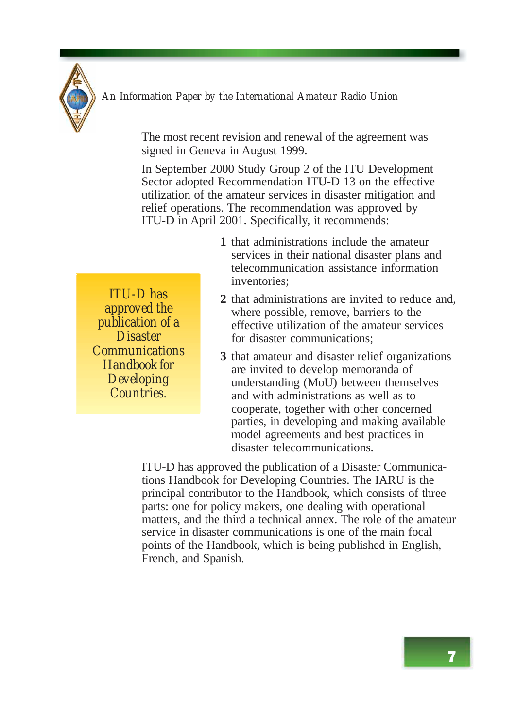

The most recent revision and renewal of the agreement was signed in Geneva in August 1999.

In September 2000 Study Group 2 of the ITU Development Sector adopted Recommendation ITU-D 13 on the effective utilization of the amateur services in disaster mitigation and relief operations. The recommendation was approved by ITU-D in April 2001. Specifically, it recommends:

- **1** that administrations include the amateur services in their national disaster plans and telecommunication assistance information inventories;
- **2** that administrations are invited to reduce and, where possible, remove, barriers to the effective utilization of the amateur services for disaster communications;
- **3** that amateur and disaster relief organizations are invited to develop memoranda of understanding (MoU) between themselves and with administrations as well as to cooperate, together with other concerned parties, in developing and making available model agreements and best practices in disaster telecommunications.

ITU-D has approved the publication of a Disaster Communications Handbook for Developing Countries. The IARU is the principal contributor to the Handbook, which consists of three parts: one for policy makers, one dealing with operational matters, and the third a technical annex. The role of the amateur service in disaster communications is one of the main focal points of the Handbook, which is being published in English, French, and Spanish.

*ITU-D has approved the publication of a Disaster Communications Handbook for Developing Countries.*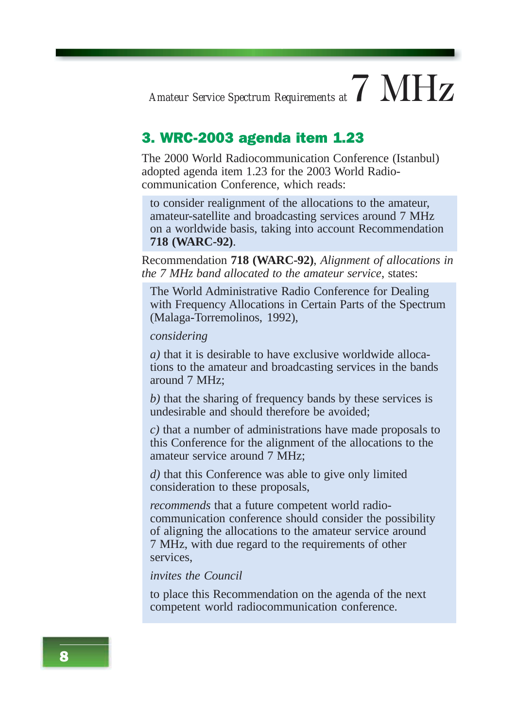### *Amateur Service Spectrum Requirements at*  $7$   $\text{MHz}$

#### 3. WRC-2003 agenda item 1.23

The 2000 World Radiocommunication Conference (Istanbul) adopted agenda item 1.23 for the 2003 World Radiocommunication Conference, which reads:

to consider realignment of the allocations to the amateur, amateur-satellite and broadcasting services around 7 MHz on a worldwide basis, taking into account Recommendation **718 (WARC-92)**.

Recommendation **718 (WARC-92)**, *Alignment of allocations in the 7 MHz band allocated to the amateur service*, states:

The World Administrative Radio Conference for Dealing with Frequency Allocations in Certain Parts of the Spectrum (Malaga-Torremolinos, 1992),

#### *considering*

*a)* that it is desirable to have exclusive worldwide allocations to the amateur and broadcasting services in the bands around 7 MHz;

*b)* that the sharing of frequency bands by these services is undesirable and should therefore be avoided;

*c)* that a number of administrations have made proposals to this Conference for the alignment of the allocations to the amateur service around 7 MHz;

*d)* that this Conference was able to give only limited consideration to these proposals,

*recommends* that a future competent world radiocommunication conference should consider the possibility of aligning the allocations to the amateur service around 7 MHz, with due regard to the requirements of other services,

#### *invites the Council*

to place this Recommendation on the agenda of the next competent world radiocommunication conference.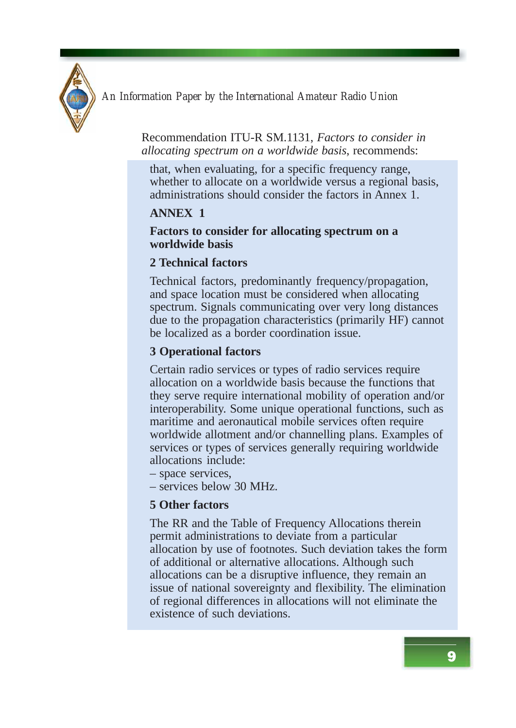

Recommendation ITU-R SM.1131, *Factors to consider in allocating spectrum on a worldwide basis*, recommends:

that, when evaluating, for a specific frequency range, whether to allocate on a worldwide versus a regional basis, administrations should consider the factors in Annex 1.

#### **ANNEX 1**

#### **Factors to consider for allocating spectrum on a worldwide basis**

#### **2 Technical factors**

Technical factors, predominantly frequency/propagation, and space location must be considered when allocating spectrum. Signals communicating over very long distances due to the propagation characteristics (primarily HF) cannot be localized as a border coordination issue.

#### **3 Operational factors**

Certain radio services or types of radio services require allocation on a worldwide basis because the functions that they serve require international mobility of operation and/or interoperability. Some unique operational functions, such as maritime and aeronautical mobile services often require worldwide allotment and/or channelling plans. Examples of services or types of services generally requiring worldwide allocations include:

- space services,
- services below 30 MHz.

#### **5 Other factors**

The RR and the Table of Frequency Allocations therein permit administrations to deviate from a particular allocation by use of footnotes. Such deviation takes the form of additional or alternative allocations. Although such allocations can be a disruptive influence, they remain an issue of national sovereignty and flexibility. The elimination of regional differences in allocations will not eliminate the existence of such deviations.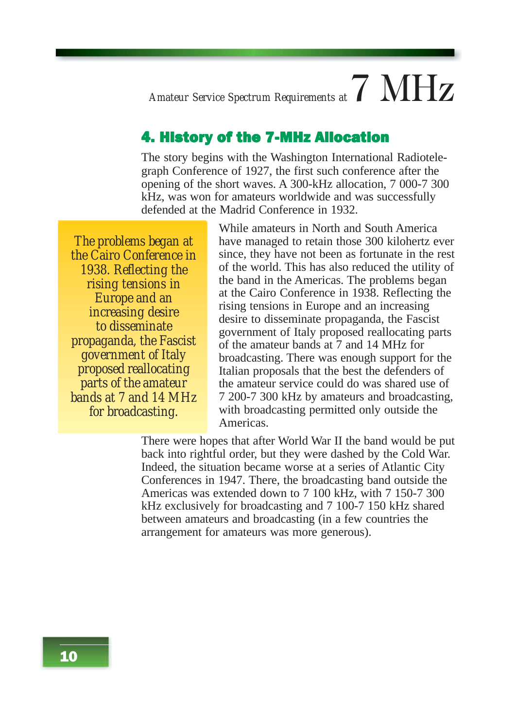### *Amateur Service Spectrum Requirements at*  $7$   $\text{MHz}$

#### 4. History of the 7-MHz Allocation

The story begins with the Washington International Radiotelegraph Conference of 1927, the first such conference after the opening of the short waves. A 300-kHz allocation, 7 000-7 300 kHz, was won for amateurs worldwide and was successfully defended at the Madrid Conference in 1932.

*The problems began at the Cairo Conference in 1938. Reflecting the rising tensions in Europe and an increasing desire to disseminate propaganda, the Fascist government of Italy proposed reallocating parts of the amateur bands at 7 and 14 MHz for broadcasting.*

While amateurs in North and South America have managed to retain those 300 kilohertz ever since, they have not been as fortunate in the rest of the world. This has also reduced the utility of the band in the Americas. The problems began at the Cairo Conference in 1938. Reflecting the rising tensions in Europe and an increasing desire to disseminate propaganda, the Fascist government of Italy proposed reallocating parts of the amateur bands at 7 and 14 MHz for broadcasting. There was enough support for the Italian proposals that the best the defenders of the amateur service could do was shared use of 7 200-7 300 kHz by amateurs and broadcasting, with broadcasting permitted only outside the Americas.

There were hopes that after World War II the band would be put back into rightful order, but they were dashed by the Cold War. Indeed, the situation became worse at a series of Atlantic City Conferences in 1947. There, the broadcasting band outside the Americas was extended down to 7 100 kHz, with 7 150-7 300 kHz exclusively for broadcasting and 7 100-7 150 kHz shared between amateurs and broadcasting (in a few countries the arrangement for amateurs was more generous).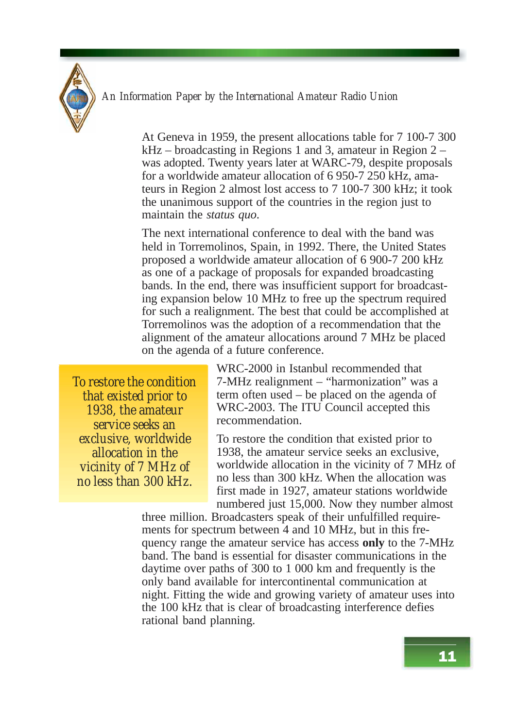

At Geneva in 1959, the present allocations table for 7 100-7 300 kHz – broadcasting in Regions 1 and 3, amateur in Region 2 – was adopted. Twenty years later at WARC-79, despite proposals for a worldwide amateur allocation of 6 950-7 250 kHz, amateurs in Region 2 almost lost access to 7 100-7 300 kHz; it took the unanimous support of the countries in the region just to maintain the *status quo*.

The next international conference to deal with the band was held in Torremolinos, Spain, in 1992. There, the United States proposed a worldwide amateur allocation of 6 900-7 200 kHz as one of a package of proposals for expanded broadcasting bands. In the end, there was insufficient support for broadcasting expansion below 10 MHz to free up the spectrum required for such a realignment. The best that could be accomplished at Torremolinos was the adoption of a recommendation that the alignment of the amateur allocations around 7 MHz be placed on the agenda of a future conference.

*To restore the condition that existed prior to 1938, the amateur service seeks an exclusive, worldwide allocation in the vicinity of 7 MHz of no less than 300 kHz.*

WRC-2000 in Istanbul recommended that 7-MHz realignment – "harmonization" was a term often used – be placed on the agenda of WRC-2003. The ITU Council accepted this recommendation.

To restore the condition that existed prior to 1938, the amateur service seeks an exclusive, worldwide allocation in the vicinity of 7 MHz of no less than 300 kHz. When the allocation was first made in 1927, amateur stations worldwide numbered just 15,000. Now they number almost

three million. Broadcasters speak of their unfulfilled requirements for spectrum between 4 and 10 MHz, but in this frequency range the amateur service has access **only** to the 7-MHz band. The band is essential for disaster communications in the daytime over paths of 300 to 1 000 km and frequently is the only band available for intercontinental communication at night. Fitting the wide and growing variety of amateur uses into the 100 kHz that is clear of broadcasting interference defies rational band planning.

11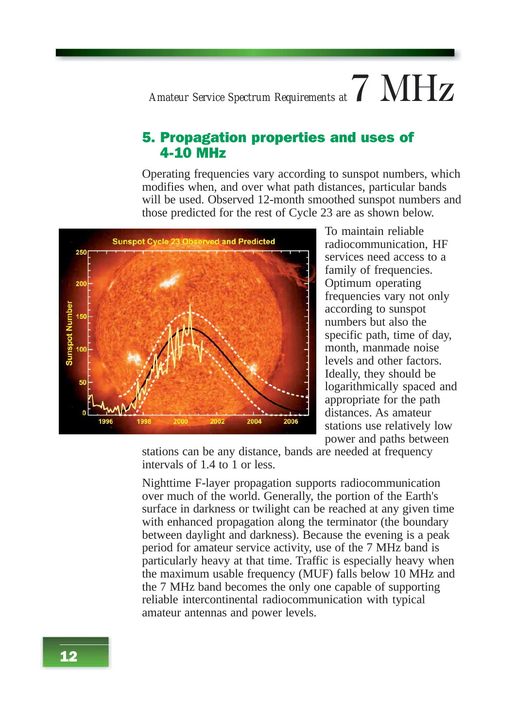### *Amateur Service Spectrum Requirements at*  $7$   $MHz$

#### 5. Propagation properties and uses of 4-10 MHz

Operating frequencies vary according to sunspot numbers, which modifies when, and over what path distances, particular bands will be used. Observed 12-month smoothed sunspot numbers and those predicted for the rest of Cycle 23 are as shown below.



To maintain reliable radiocommunication, HF services need access to a family of frequencies. Optimum operating frequencies vary not only according to sunspot numbers but also the specific path, time of day, month, manmade noise levels and other factors. Ideally, they should be logarithmically spaced and appropriate for the path distances. As amateur stations use relatively low power and paths between

stations can be any distance, bands are needed at frequency intervals of 1.4 to 1 or less.

Nighttime F-layer propagation supports radiocommunication over much of the world. Generally, the portion of the Earth's surface in darkness or twilight can be reached at any given time with enhanced propagation along the terminator (the boundary between daylight and darkness). Because the evening is a peak period for amateur service activity, use of the 7 MHz band is particularly heavy at that time. Traffic is especially heavy when the maximum usable frequency (MUF) falls below 10 MHz and the 7 MHz band becomes the only one capable of supporting reliable intercontinental radiocommunication with typical amateur antennas and power levels.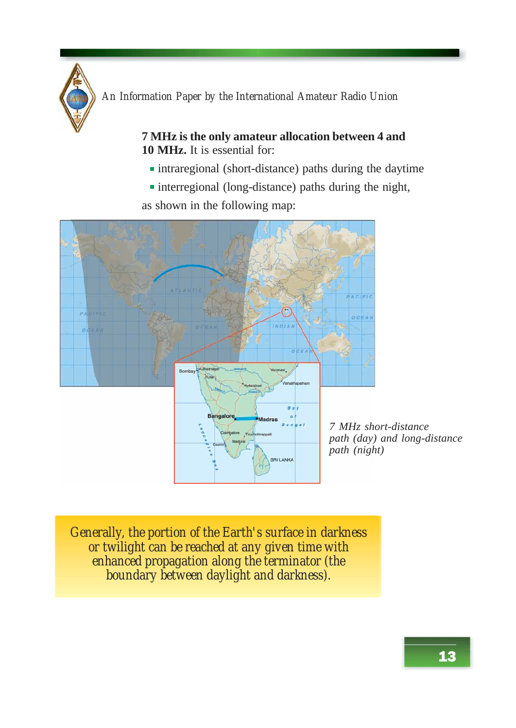

**7 MHz is the only amateur allocation between 4 and 10 MHz.** It is essential for:

- intraregional (short-distance) paths during the daytime
- interregional (long-distance) paths during the night,

as shown in the following map:



*7 MHz short-distance path (day) and long-distance path (night)*

*Generally, the portion of the Earth's surface in darkness or twilight can be reached at any given time with enhanced propagation along the terminator (the boundary between daylight and darkness).*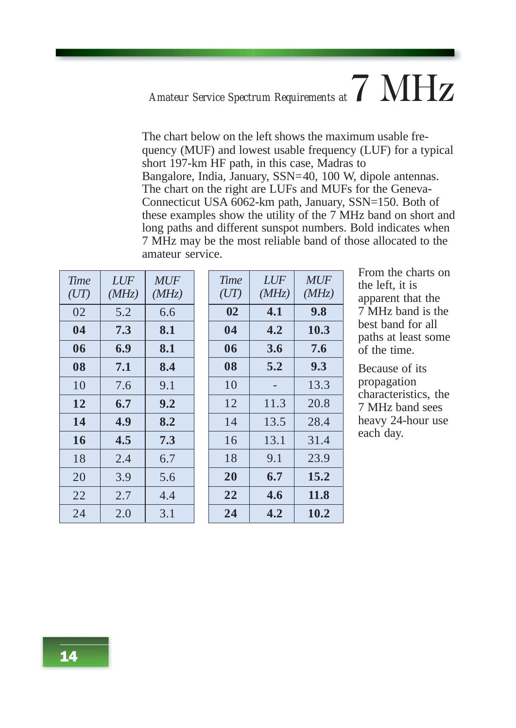### *Amateur Service Spectrum Requirements at*7 MHz

The chart below on the left shows the maximum usable frequency (MUF) and lowest usable frequency (LUF) for a typical short 197-km HF path, in this case, Madras to Bangalore, India, January, SSN=40, 100 W, dipole antennas. The chart on the right are LUFs and MUFs for the Geneva-Connecticut USA 6062-km path, January, SSN=150. Both of these examples show the utility of the 7 MHz band on short and long paths and different sunspot numbers. Bold indicates when 7 MHz may be the most reliable band of those allocated to the amateur service.

| <b>Time</b><br>(UT) | LUF<br>(MHz) | <b>MUF</b><br>(MHz) |
|---------------------|--------------|---------------------|
| 02                  | 5.2          | 6.6                 |
| 04                  | 7.3          | 8.1                 |
| 06                  | 6.9          | 8.1                 |
| 08                  | 7.1          | 8.4                 |
| 10                  | 7.6          | 9.1                 |
| 12                  | 6.7          | 9.2                 |
| 14                  | 4.9          | 8.2                 |
| 16                  | 4.5          | 7.3                 |
| 18                  | 2.4          | 6.7                 |
| 20                  | 3.9          | 5.6                 |
| 22                  | 2.7          | 4.4                 |
| 24                  | 2.0          | 3.1                 |

| <b>Time</b><br>(UT) | <i>LUF</i><br>(MHz) | <b>MUF</b><br>(MHz) |
|---------------------|---------------------|---------------------|
| $\mathbf{0}$        | 4.1                 | 9.8                 |
| 04                  | 4.2                 | 10.3                |
| 06                  | 3.6                 | 7.6                 |
| 08                  | 5.2                 | 9.3                 |
| 10                  |                     | 13.3                |
| 12                  | 11.3                | 20.8                |
| 14                  | 13.5                | 28.4                |
| 16                  | 13.1                | 31.4                |
| 18                  | 9.1                 | 23.9                |
| 20                  | 6.7                 | 15.2                |
| 22                  | 4.6                 | 11.8                |
| 24                  | 4.2                 | 10.2                |

From the charts on the left, it is apparent that the 7 MHz band is the best band for all paths at least some of the time.

Because of its propagation characteristics, the 7 MHz band sees heavy 24-hour use each day.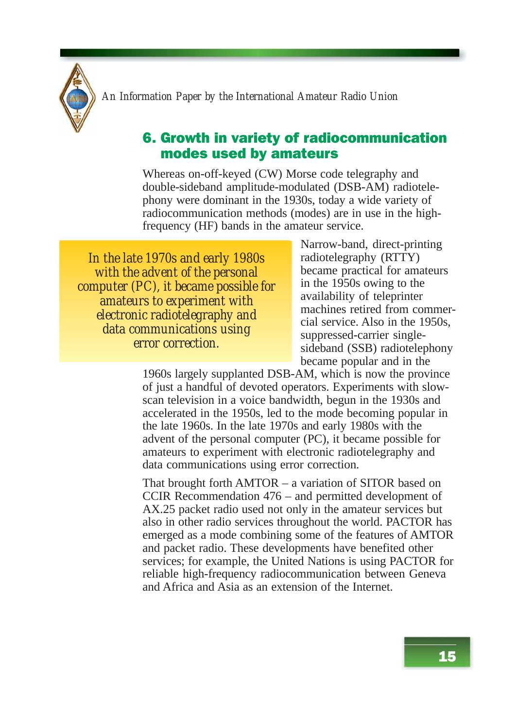#### 6. Growth in variety of radiocommunication modes used by amateurs

Whereas on-off-keyed (CW) Morse code telegraphy and double-sideband amplitude-modulated (DSB-AM) radiotelephony were dominant in the 1930s, today a wide variety of radiocommunication methods (modes) are in use in the highfrequency (HF) bands in the amateur service.

*In the late 1970s and early 1980s with the advent of the personal computer (PC), it became possible for amateurs to experiment with electronic radiotelegraphy and data communications using error correction.*

Narrow-band, direct-printing radiotelegraphy (RTTY) became practical for amateurs in the 1950s owing to the availability of teleprinter machines retired from commercial service. Also in the 1950s, suppressed-carrier singlesideband (SSB) radiotelephony became popular and in the

1960s largely supplanted DSB-AM, which is now the province of just a handful of devoted operators. Experiments with slowscan television in a voice bandwidth, begun in the 1930s and accelerated in the 1950s, led to the mode becoming popular in the late 1960s. In the late 1970s and early 1980s with the advent of the personal computer (PC), it became possible for amateurs to experiment with electronic radiotelegraphy and data communications using error correction.

That brought forth AMTOR – a variation of SITOR based on CCIR Recommendation 476 – and permitted development of AX.25 packet radio used not only in the amateur services but also in other radio services throughout the world. PACTOR has emerged as a mode combining some of the features of AMTOR and packet radio. These developments have benefited other services; for example, the United Nations is using PACTOR for reliable high-frequency radiocommunication between Geneva and Africa and Asia as an extension of the Internet.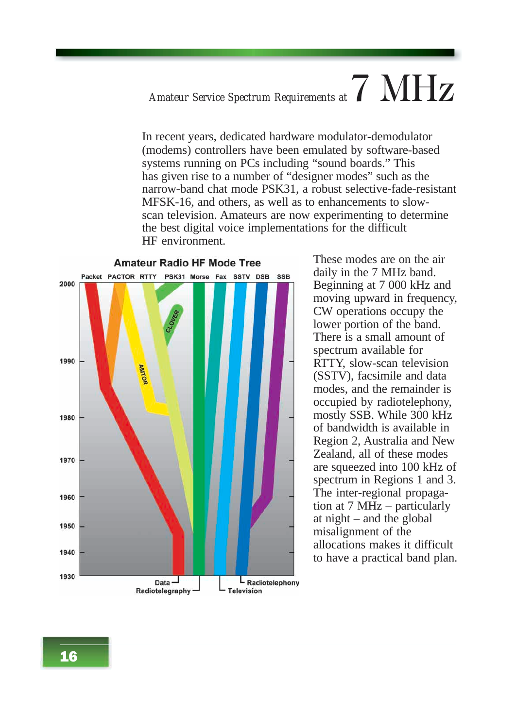## *Amateur Service Spectrum Requirements at*7 MHz

In recent years, dedicated hardware modulator-demodulator (modems) controllers have been emulated by software-based systems running on PCs including "sound boards." This has given rise to a number of "designer modes" such as the narrow-band chat mode PSK31, a robust selective-fade-resistant MFSK-16, and others, as well as to enhancements to slowscan television. Amateurs are now experimenting to determine the best digital voice implementations for the difficult HF environment.



These modes are on the air daily in the 7 MHz band. Beginning at 7 000 kHz and moving upward in frequency, CW operations occupy the lower portion of the band. There is a small amount of spectrum available for RTTY, slow-scan television (SSTV), facsimile and data modes, and the remainder is occupied by radiotelephony, mostly SSB. While 300 kHz of bandwidth is available in Region 2, Australia and New Zealand, all of these modes are squeezed into 100 kHz of spectrum in Regions 1 and 3. The inter-regional propagation at 7 MHz – particularly at night – and the global misalignment of the allocations makes it difficult to have a practical band plan.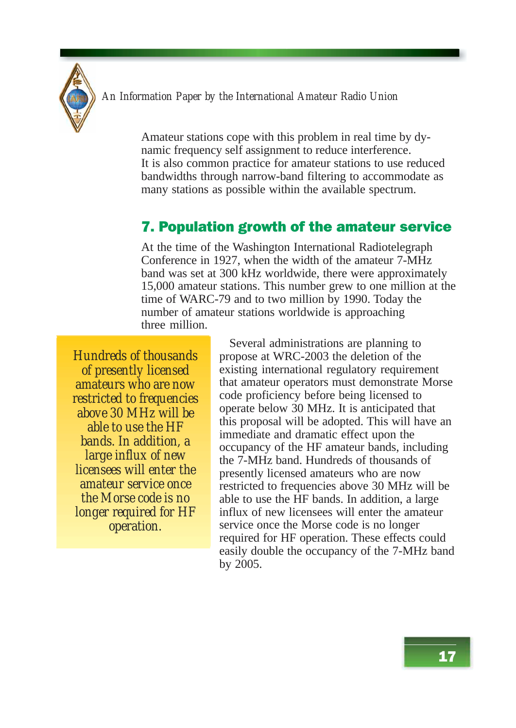

Amateur stations cope with this problem in real time by dynamic frequency self assignment to reduce interference. It is also common practice for amateur stations to use reduced bandwidths through narrow-band filtering to accommodate as many stations as possible within the available spectrum.

#### 7. Population growth of the amateur service

At the time of the Washington International Radiotelegraph Conference in 1927, when the width of the amateur 7-MHz band was set at 300 kHz worldwide, there were approximately 15,000 amateur stations. This number grew to one million at the time of WARC-79 and to two million by 1990. Today the number of amateur stations worldwide is approaching three million.

*Hundreds of thousands of presently licensed amateurs who are now restricted to frequencies above 30 MHz will be able to use the HF bands. In addition, a large influx of new licensees will enter the amateur service once the Morse code is no longer required for HF operation.*

Several administrations are planning to propose at WRC-2003 the deletion of the existing international regulatory requirement that amateur operators must demonstrate Morse code proficiency before being licensed to operate below 30 MHz. It is anticipated that this proposal will be adopted. This will have an immediate and dramatic effect upon the occupancy of the HF amateur bands, including the 7-MHz band. Hundreds of thousands of presently licensed amateurs who are now restricted to frequencies above 30 MHz will be able to use the HF bands. In addition, a large influx of new licensees will enter the amateur service once the Morse code is no longer required for HF operation. These effects could easily double the occupancy of the 7-MHz band by 2005.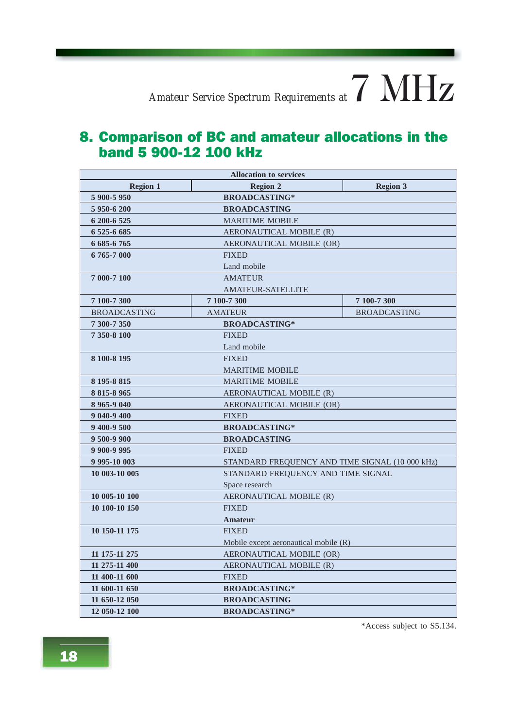#### 8. Comparison of BC and amateur allocations in the band 5 900-12 100 kHz

| <b>Allocation to services</b>      |                                                 |                     |  |
|------------------------------------|-------------------------------------------------|---------------------|--|
| <b>Region 1</b>                    | <b>Region 2</b>                                 | <b>Region 3</b>     |  |
| 5 900-5 950                        | <b>BROADCASTING*</b>                            |                     |  |
| 5 950-6 200<br><b>BROADCASTING</b> |                                                 |                     |  |
| 6 200-6 525                        | <b>MARITIME MOBILE</b>                          |                     |  |
| 6 525-6 685                        | AERONAUTICAL MOBILE (R)                         |                     |  |
| 6 685-6 765                        | AERONAUTICAL MOBILE (OR)                        |                     |  |
| 6765-7000                          | <b>FIXED</b>                                    |                     |  |
|                                    | Land mobile                                     |                     |  |
| 7 000-7 100                        | <b>AMATEUR</b>                                  |                     |  |
|                                    | <b>AMATEUR-SATELLITE</b>                        |                     |  |
| 7 100-7 300                        | 7 100-7 300                                     | 7 100-7 300         |  |
| <b>BROADCASTING</b>                | <b>AMATEUR</b>                                  | <b>BROADCASTING</b> |  |
| 7 300-7 350                        | <b>BROADCASTING*</b>                            |                     |  |
| 7 350-8 100                        | <b>FIXED</b>                                    |                     |  |
|                                    | Land mobile                                     |                     |  |
| 8 100-8 195                        | <b>FIXED</b>                                    |                     |  |
|                                    | <b>MARITIME MOBILE</b>                          |                     |  |
| 8 195-8 815                        | <b>MARITIME MOBILE</b>                          |                     |  |
| 8 815-8 965                        | AERONAUTICAL MOBILE (R)                         |                     |  |
| 8 965-9 040                        | AERONAUTICAL MOBILE (OR)                        |                     |  |
| 9 040-9 400                        | <b>FIXED</b>                                    |                     |  |
| 9 400-9 500                        | <b>BROADCASTING*</b>                            |                     |  |
| 9 500-9 900                        | <b>BROADCASTING</b>                             |                     |  |
| 9 900-9 995                        | <b>FIXED</b>                                    |                     |  |
| 9 995-10 003                       | STANDARD FREQUENCY AND TIME SIGNAL (10 000 kHz) |                     |  |
| 10 003-10 005                      | STANDARD FREQUENCY AND TIME SIGNAL              |                     |  |
|                                    | Space research                                  |                     |  |
| 10 005 10 100                      | AERONAUTICAL MOBILE (R)                         |                     |  |
| 10 100-10 150                      | <b>FIXED</b>                                    |                     |  |
|                                    | Amateur                                         |                     |  |
| 10 150-11 175                      | <b>FIXED</b>                                    |                     |  |
|                                    | Mobile except aeronautical mobile (R)           |                     |  |
| 11 175 11 275                      | AERONAUTICAL MOBILE (OR)                        |                     |  |
| 11 275-11 400                      | AERONAUTICAL MOBILE (R)                         |                     |  |
| 11 400-11 600                      | <b>FIXED</b>                                    |                     |  |
| 11 600-11 650                      | <b>BROADCASTING*</b>                            |                     |  |
| 11 650-12 050                      | <b>BROADCASTING</b>                             |                     |  |
| 12 050-12 100                      | <b>BROADCASTING*</b>                            |                     |  |

\*Access subject to S5.134.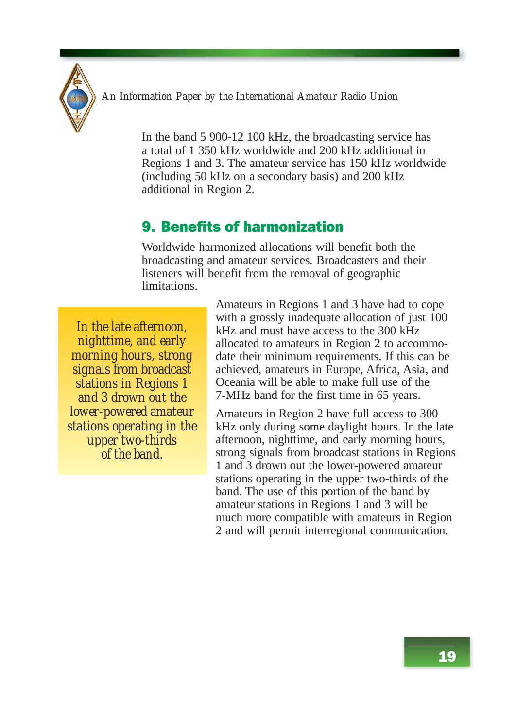

In the band 5 900-12 100 kHz, the broadcasting service has a total of 1 350 kHz worldwide and 200 kHz additional in Regions 1 and 3. The amateur service has 150 kHz worldwide (including 50 kHz on a secondary basis) and 200 kHz additional in Region 2.

#### 9. Benefits of harmonization

Worldwide harmonized allocations will benefit both the broadcasting and amateur services. Broadcasters and their listeners will benefit from the removal of geographic limitations.

*In the late afternoon, nighttime, and early morning hours, strong signals from broadcast stations in Regions 1 and 3 drown out the lower-powered amateur stations operating in the upper two-thirds of the band.*

Amateurs in Regions 1 and 3 have had to cope with a grossly inadequate allocation of just 100 kHz and must have access to the 300 kHz allocated to amateurs in Region 2 to accommodate their minimum requirements. If this can be achieved, amateurs in Europe, Africa, Asia, and Oceania will be able to make full use of the 7-MHz band for the first time in 65 years.

Amateurs in Region 2 have full access to 300 kHz only during some daylight hours. In the late afternoon, nighttime, and early morning hours, strong signals from broadcast stations in Regions 1 and 3 drown out the lower-powered amateur stations operating in the upper two-thirds of the band. The use of this portion of the band by amateur stations in Regions 1 and 3 will be much more compatible with amateurs in Region 2 and will permit interregional communication.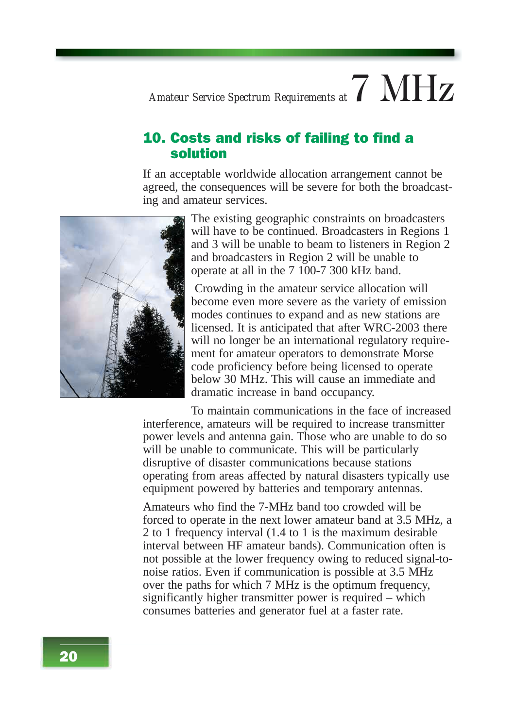### *Amateur Service Spectrum Requirements at*  $7$   $MHz$

#### 10. Costs and risks of failing to find a solution

If an acceptable worldwide allocation arrangement cannot be agreed, the consequences will be severe for both the broadcasting and amateur services.



The existing geographic constraints on broadcasters will have to be continued. Broadcasters in Regions 1 and 3 will be unable to beam to listeners in Region 2 and broadcasters in Region 2 will be unable to operate at all in the 7 100-7 300 kHz band.

 Crowding in the amateur service allocation will become even more severe as the variety of emission modes continues to expand and as new stations are licensed. It is anticipated that after WRC-2003 there will no longer be an international regulatory requirement for amateur operators to demonstrate Morse code proficiency before being licensed to operate below 30 MHz. This will cause an immediate and dramatic increase in band occupancy.

To maintain communications in the face of increased interference, amateurs will be required to increase transmitter power levels and antenna gain. Those who are unable to do so will be unable to communicate. This will be particularly disruptive of disaster communications because stations operating from areas affected by natural disasters typically use equipment powered by batteries and temporary antennas.

Amateurs who find the 7-MHz band too crowded will be forced to operate in the next lower amateur band at 3.5 MHz, a 2 to 1 frequency interval (1.4 to 1 is the maximum desirable interval between HF amateur bands). Communication often is not possible at the lower frequency owing to reduced signal-tonoise ratios. Even if communication is possible at 3.5 MHz over the paths for which 7 MHz is the optimum frequency, significantly higher transmitter power is required – which consumes batteries and generator fuel at a faster rate.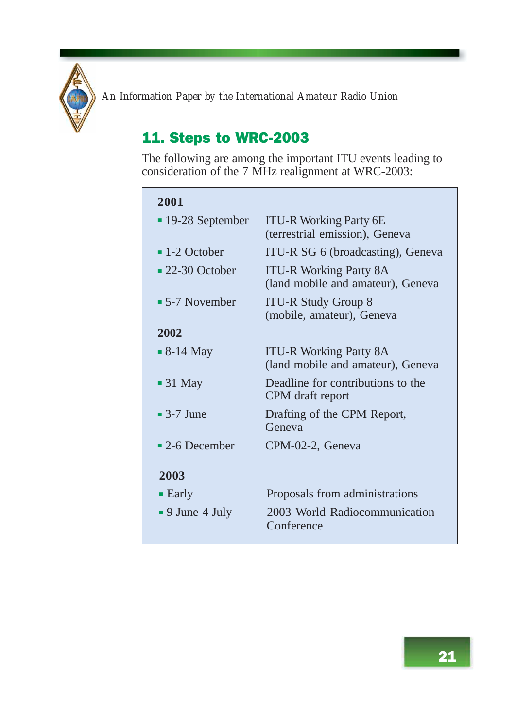

#### 11. Steps to WRC-2003

The following are among the important ITU events leading to consideration of the 7 MHz realignment at WRC-2003:

#### **2001**

| 400 L                          |                                                                    |
|--------------------------------|--------------------------------------------------------------------|
| $\blacksquare$ 19-28 September | <b>ITU-R Working Party 6E</b>                                      |
|                                | (terrestrial emission), Geneva                                     |
| $\blacksquare$ 1-2 October     | ITU-R SG 6 (broadcasting), Geneva                                  |
| $\blacksquare$ 22-30 October   | <b>ITU-R Working Party 8A</b><br>(land mobile and amateur), Geneva |
| $\blacksquare$ 5-7 November    | <b>ITU-R Study Group 8</b><br>(mobile, amateur), Geneva            |
| 2002                           |                                                                    |
| $\blacksquare$ 8-14 May        | <b>ITU-R Working Party 8A</b><br>(land mobile and amateur), Geneva |
| $\blacksquare$ 31 May          | Deadline for contributions to the<br>CPM draft report              |
| $\blacksquare$ 3-7 June        | Drafting of the CPM Report,<br>Geneva                              |
| $\blacksquare$ 2-6 December    | CPM-02-2, Geneva                                                   |
| 2003                           |                                                                    |
| $\blacksquare$ Early           | Proposals from administrations                                     |
| $\blacksquare$ 9 June-4 July   | 2003 World Radiocommunication<br>Conference                        |
|                                |                                                                    |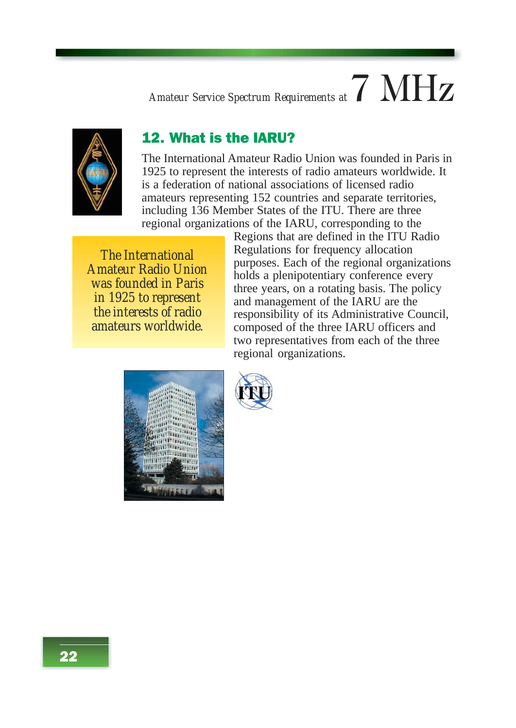### *Amateur Service Spectrum Requirements at*7 MHz



#### 12. What is the IARU?

The International Amateur Radio Union was founded in Paris in 1925 to represent the interests of radio amateurs worldwide. It is a federation of national associations of licensed radio amateurs representing 152 countries and separate territories, including 136 Member States of the ITU. There are three regional organizations of the IARU, corresponding to the

*The International Amateur Radio Union was founded in Paris in 1925 to represent the interests of radio amateurs worldwide.*

Regions that are defined in the ITU Radio Regulations for frequency allocation purposes. Each of the regional organizations holds a plenipotentiary conference every three years, on a rotating basis. The policy and management of the IARU are the responsibility of its Administrative Council, composed of the three IARU officers and two representatives from each of the three regional organizations.

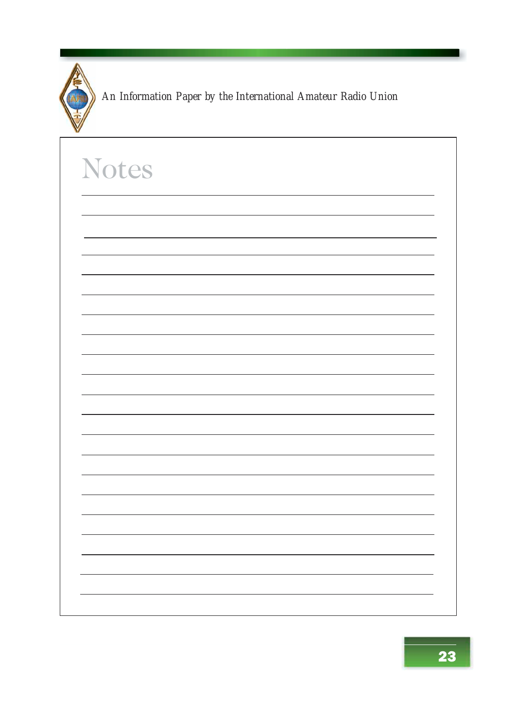

| <b>Notes</b> |  |
|--------------|--|
|              |  |
|              |  |
|              |  |
|              |  |
|              |  |
|              |  |
|              |  |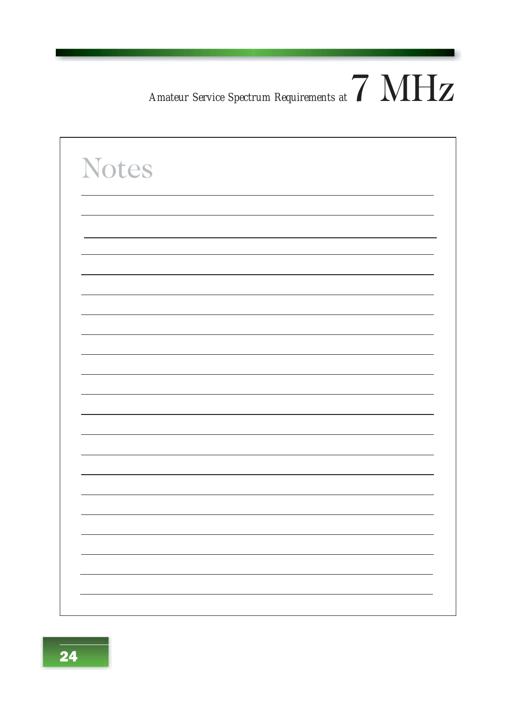### *Amateur Service Spectrum Requirements at*7 MHz

| <b>Notes</b> |  |
|--------------|--|
|              |  |
|              |  |
|              |  |
|              |  |
|              |  |
|              |  |
|              |  |